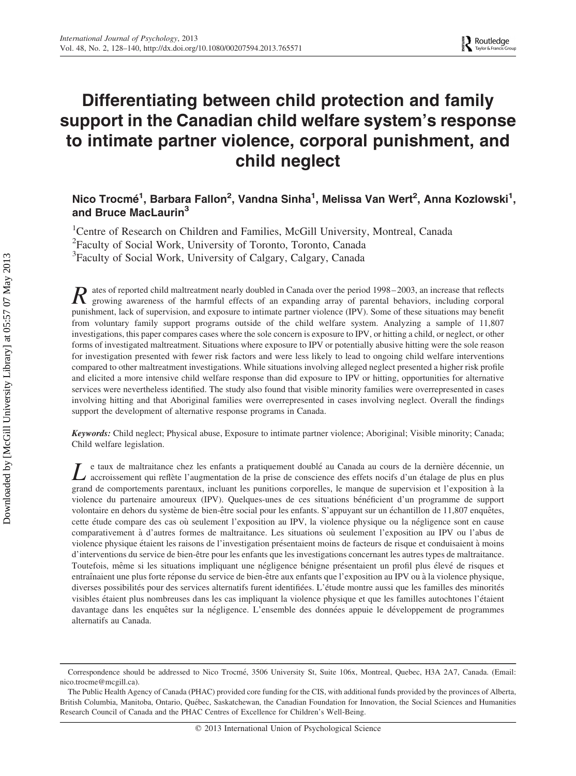# Differentiating between child protection and family support in the Canadian child welfare system's response to intimate partner violence, corporal punishment, and child neglect

## Nico Trocmé<sup>1</sup>, Barbara Fallon<sup>2</sup>, Vandna Sinha<sup>1</sup>, Melissa Van Wert<sup>2</sup>, Anna Kozlowski<sup>1</sup>, and Bruce MacLaurin<sup>3</sup>

<sup>1</sup>Centre of Research on Children and Families, McGill University, Montreal, Canada <sup>2</sup>Faculty of Social Work, University of Toronto, Toronto, Canada Faculty of Social Work, University of Toronto, Toronto, Canada 3 Faculty of Social Work, University of Calgary, Calgary, Canada

R ates of reported child maltreatment nearly doubled in Canada over the period 1998–2003, an increase that reflects growing awareness of the harmful effects of an expanding array of parental behaviors, including corporal punishment, lack of supervision, and exposure to intimate partner violence (IPV). Some of these situations may benefit from voluntary family support programs outside of the child welfare system. Analyzing a sample of 11,807 investigations, this paper compares cases where the sole concern is exposure to IPV, or hitting a child, or neglect, or other forms of investigated maltreatment. Situations where exposure to IPV or potentially abusive hitting were the sole reason for investigation presented with fewer risk factors and were less likely to lead to ongoing child welfare interventions compared to other maltreatment investigations. While situations involving alleged neglect presented a higher risk profile and elicited a more intensive child welfare response than did exposure to IPV or hitting, opportunities for alternative services were nevertheless identified. The study also found that visible minority families were overrepresented in cases involving hitting and that Aboriginal families were overrepresented in cases involving neglect. Overall the findings support the development of alternative response programs in Canada.

Keywords: Child neglect; Physical abuse, Exposure to intimate partner violence; Aboriginal; Visible minority; Canada; Child welfare legislation.

Le taux de maltraitance chez les enfants a pratiquement doublé au Canada au cours de la dernière décennie, un<br>caroissement qui reflète l'augmentation de la prise de conscience des effets nocifs d'un étalage de plus en plus accroissement qui reflete i augmentation de la prise de conscience des effets nocis d'un etalage de plus en plus<br>. grand de comportements parentaux, incluant les punitions corporelles, le manque de supervision et l'exposition a` la violence du partenaire amoureux (IPV). Quelques-unes de ces situations bénéficient d'un programme de support volontaire en dehors du système de bien-être social pour les enfants. S'appuyant sur un échantillon de 11,807 enquêtes, cette étude compare des cas où seulement l'exposition au IPV, la violence physique ou la négligence sont en cause comparativement a` d'autres formes de maltraitance. Les situations ou` seulement l'exposition au IPV ou l'abus de violence physique étaient les raisons de l'investigation présentaient moins de facteurs de risque et conduisaient à moins d'interventions du service de bien-être pour les enfants que les investigations concernant les autres types de maltraitance. Toutefois, même si les situations impliquant une négligence bénigne présentaient un profil plus élevé de risques et entraînaient une plus forte réponse du service de bien-être aux enfants que l'exposition au IPV ou à la violence physique, diverses possibilités pour des services alternatifs furent identifiées. L'étude montre aussi que les familles des minorités visibles étaient plus nombreuses dans les cas impliquant la violence physique et que les familles autochtones l'étaient davantage dans les enquêtes sur la négligence. L'ensemble des données appuie le développement de programmes alternatifs au Canada.

Correspondence should be addressed to Nico Trocmé, 3506 University St, Suite 106x, Montreal, Quebec, H3A 2A7, Canada. (Email: nico.trocme@mcgill.ca).

The Public Health Agency of Canada (PHAC) provided core funding for the CIS, with additional funds provided by the provinces of Alberta, British Columbia, Manitoba, Ontario, Québec, Saskatchewan, the Canadian Foundation for Innovation, the Social Sciences and Humanities Research Council of Canada and the PHAC Centres of Excellence for Children's Well-Being.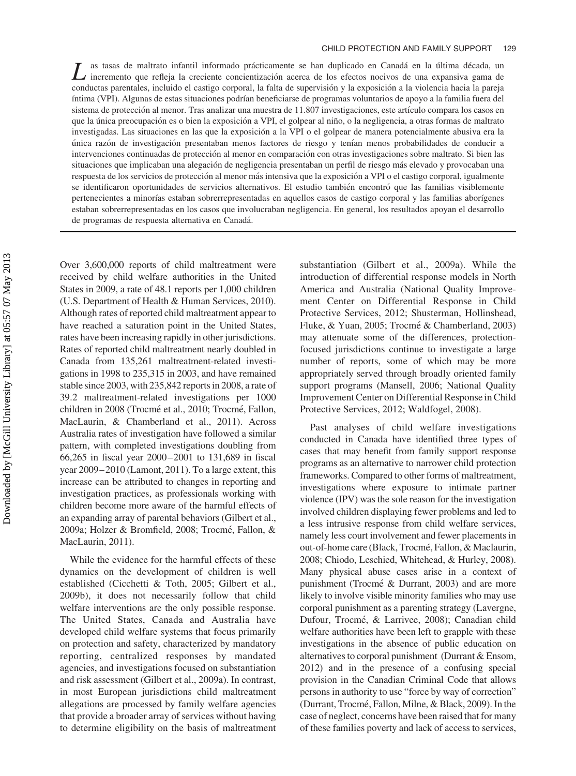L as tasas de maltrato infantil informado prácticamente se han duplicado en Canadá en la última década, un<br>incremento que refleja la creciente concientización acerca de los efectos nocivos de una expansiva gama de as tasas de maltrato infantil informado prácticamente se han duplicado en Canadá en la última década, un incremento que refleja la creciente concientización acerca de los efectos nocivos de una expansiva gama de conductas parentales, incluido el castigo corporal, la falta de supervision y la exposición a la violencia hacia la pareja ´ıntima (VPI). Algunas de estas situaciones podrı´an beneficiarse de programas voluntarios de apoyo a la familia fuera del sistema de protección al menor. Tras analizar una muestra de 11.807 investigaciones, este artículo compara los casos en que la única preocupación es o bien la exposición a VPI, el golpear al niño, o la negligencia, a otras formas de maltrato investigadas. Las situaciones en las que la exposición a la VPI o el golpear de manera potencialmente abusiva era la única razón de investigación presentaban menos factores de riesgo y tenían menos probabilidades de conducir a intervenciones continuadas de protección al menor en comparación con otras investigaciones sobre maltrato. Si bien las situaciones que implicaban una alegación de negligencia presentaban un perfil de riesgo más elevado y provocaban una respuesta de los servicios de protección al menor más intensiva que la exposición a VPI o el castigo corporal, igualmente se identificaron oportunidades de servicios alternativos. El estudio también encontró que las familias visiblemente pertenecientes a minorías estaban sobrerrepresentadas en aquellos casos de castigo corporal y las familias aborígenes estaban sobrerrepresentadas en los casos que involucraban negligencia. En general, los resultados apoyan el desarrollo de programas de respuesta alternativa en Canada´.

Over 3,600,000 reports of child maltreatment were received by child welfare authorities in the United States in 2009, a rate of 48.1 reports per 1,000 children (U.S. Department of Health & Human Services, 2010). Although rates of reported child maltreatment appear to have reached a saturation point in the United States, rates have been increasing rapidly in other jurisdictions. Rates of reported child maltreatment nearly doubled in Canada from 135,261 maltreatment-related investigations in 1998 to 235,315 in 2003, and have remained stable since 2003, with 235,842 reports in 2008, a rate of 39.2 maltreatment-related investigations per 1000 children in 2008 (Trocmé et al., 2010; Trocmé, Fallon, MacLaurin, & Chamberland et al., 2011). Across Australia rates of investigation have followed a similar pattern, with completed investigations doubling from 66,265 in fiscal year 2000–2001 to 131,689 in fiscal year 2009–2010 (Lamont, 2011). To a large extent, this increase can be attributed to changes in reporting and investigation practices, as professionals working with children become more aware of the harmful effects of an expanding array of parental behaviors (Gilbert et al., 2009a; Holzer & Bromfield, 2008; Trocmé, Fallon, & MacLaurin, 2011).

while the evidence for the harmful effects of these dynamics on the development of children is well established (Cicchetti & Toth, 2005; Gilbert et al., 2009b), it does not necessarily follow that child welfare interventions are the only possible response. The United States, Canada and Australia have developed child welfare systems that focus primarily on protection and safety, characterized by mandatory reporting, centralized responses by mandated agencies, and investigations focused on substantiation and risk assessment (Gilbert et al., 2009a). In contrast, in most European jurisdictions child maltreatment allegations are processed by family welfare agencies that provide a broader array of services without having to determine eligibility on the basis of maltreatment

substantiation (Gilbert et al., 2009a). While the introduction of differential response models in North America and Australia (National Quality Improvement Center on Differential Response in Child Protective Services, 2012; Shusterman, Hollinshead, Fluke, & Yuan, 2005; Trocmé & Chamberland, 2003) may attenuate some of the differences, protectionfocused jurisdictions continue to investigate a large number of reports, some of which may be more appropriately served through broadly oriented family support programs (Mansell, 2006; National Quality Improvement Center on Differential Response in Child Protective Services, 2012; Waldfogel, 2008).

Past analyses of child welfare investigations conducted in Canada have identified three types of cases that may benefit from family support response programs as an alternative to narrower child protection frameworks. Compared to other forms of maltreatment, investigations where exposure to intimate partner violence (IPV) was the sole reason for the investigation involved children displaying fewer problems and led to a less intrusive response from child welfare services, namely less court involvement and fewer placementsin out-of-home care (Black, Trocmé, Fallon, & Maclaurin, 2008; Chiodo, Leschied, Whitehead, & Hurley, 2008). Many physical abuse cases arise in a context of punishment (Trocmé  $\&$  Durrant, 2003) and are more likely to involve visible minority families who may use corporal punishment as a parenting strategy (Lavergne, Dufour, Trocmé, & Larrivee, 2008); Canadian child welfare authorities have been left to grapple with these investigations in the absence of public education on alternatives to corporal punishment (Durrant & Ensom, 2012) and in the presence of a confusing special provision in the Canadian Criminal Code that allows persons in authority to use "force by way of correction" (Durrant, Trocmé, Fallon, Milne, & Black, 2009). In the case of neglect, concerns have been raised that for many of these families poverty and lack of access to services,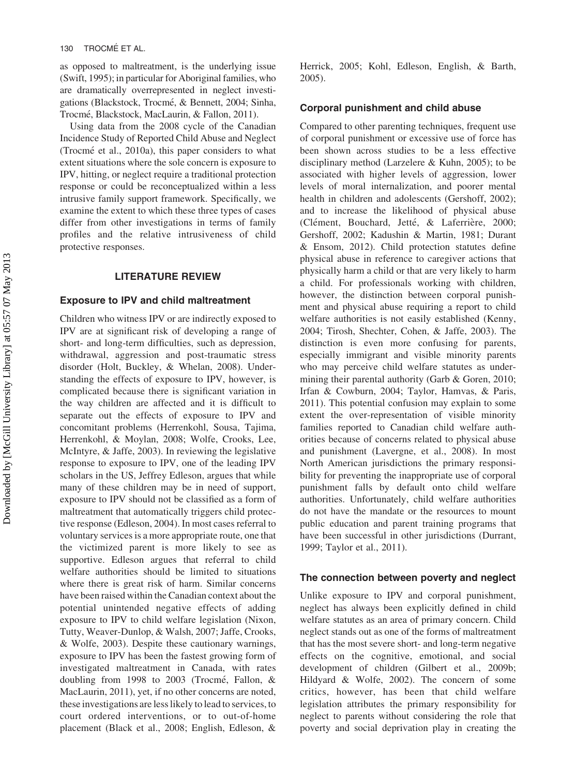as opposed to maltreatment, is the underlying issue (Swift, 1995); in particular for Aboriginal families, who are dramatically overrepresented in neglect investigations (Blackstock, Trocmé, & Bennett, 2004; Sinha, Trocmé, Blackstock, MacLaurin, & Fallon, 2011).

Using data from the 2008 cycle of the Canadian Incidence Study of Reported Child Abuse and Neglect (Trocmé et al., 2010a), this paper considers to what extent situations where the sole concern is exposure to IPV, hitting, or neglect require a traditional protection response or could be reconceptualized within a less intrusive family support framework. Specifically, we examine the extent to which these three types of cases differ from other investigations in terms of family profiles and the relative intrusiveness of child protective responses.

### LITERATURE REVIEW

## Exposure to IPV and child maltreatment

Children who witness IPV or are indirectly exposed to IPV are at significant risk of developing a range of short- and long-term difficulties, such as depression, withdrawal, aggression and post-traumatic stress disorder (Holt, Buckley, & Whelan, 2008). Understanding the effects of exposure to IPV, however, is complicated because there is significant variation in the way children are affected and it is difficult to separate out the effects of exposure to IPV and concomitant problems (Herrenkohl, Sousa, Tajima, Herrenkohl, & Moylan, 2008; Wolfe, Crooks, Lee, McIntyre, & Jaffe, 2003). In reviewing the legislative response to exposure to IPV, one of the leading IPV scholars in the US, Jeffrey Edleson, argues that while many of these children may be in need of support, exposure to IPV should not be classified as a form of maltreatment that automatically triggers child protective response (Edleson, 2004). In most cases referral to voluntary services is a more appropriate route, one that the victimized parent is more likely to see as supportive. Edleson argues that referral to child welfare authorities should be limited to situations where there is great risk of harm. Similar concerns have been raised within the Canadian context about the potential unintended negative effects of adding exposure to IPV to child welfare legislation (Nixon, Tutty, Weaver-Dunlop, & Walsh, 2007; Jaffe, Crooks, & Wolfe, 2003). Despite these cautionary warnings, exposure to IPV has been the fastest growing form of investigated maltreatment in Canada, with rates doubling from 1998 to 2003 (Trocmé, Fallon, & MacLaurin, 2011), yet, if no other concerns are noted, these investigations are lesslikely to lead to services, to court ordered interventions, or to out-of-home placement (Black et al., 2008; English, Edleson, &

Herrick, 2005; Kohl, Edleson, English, & Barth, 2005).

#### Corporal punishment and child abuse

Compared to other parenting techniques, frequent use<br>of corporal punishment or excessive use of force has been shown across studies to be a less effective been shown across studies to be a less effective disciplinary method (Larzelere  $\alpha$  Kuhn, 2005); to be associated with higher levels of aggression, lower health in children and adolescents (Gershoff, 2002);  $h$ ealth in children and adolescents (Gershorf, 2002); and to increase the likelihood of physical abuse (Clément, Bouchard, Jetté, & Laferrière, 2000; Gershoff, 2002; Kadushin & Martin, 1981; Durant & Ensom, 2012). Child protection statutes define physical abuse in reference to caregiver actions that physically harm a child or that are very likely to harm a child. For professionals working with children, however, the distinction between corporal punishment and physical abuse requiring a report to child welfare authorities is not easily established (Kenny, 2004; Tirosh, Shechter, Cohen, & Jaffe, 2003). The distinction is even more confusing for parents, especially immigrant and visible minority parents who may perceive child welfare statutes as undermining their parental authority (Garb & Goren, 2010; Irfan & Cowburn, 2004; Taylor, Hamvas, & Paris, 2011). This potential confusion may explain to some extent the over-representation of visible minority families reported to Canadian child welfare authorities because of concerns related to physical abuse and punishment (Lavergne, et al., 2008). In most North American jurisdictions the primary responsibility for preventing the inappropriate use of corporal punishment falls by default onto child welfare authorities. Unfortunately, child welfare authorities do not have the mandate or the resources to mount public education and parent training programs that have been successful in other jurisdictions (Durrant, 1999; Taylor et al., 2011).

#### The connection between poverty and neglect

Unlike exposure to IPV and corporal punishment, neglect has always been explicitly defined in child welfare statutes as an area of primary concern. Child neglect stands out as one of the forms of maltreatment that has the most severe short- and long-term negative effects on the cognitive, emotional, and social development of children (Gilbert et al., 2009b; Hildyard & Wolfe, 2002). The concern of some critics, however, has been that child welfare legislation attributes the primary responsibility for neglect to parents without considering the role that poverty and social deprivation play in creating the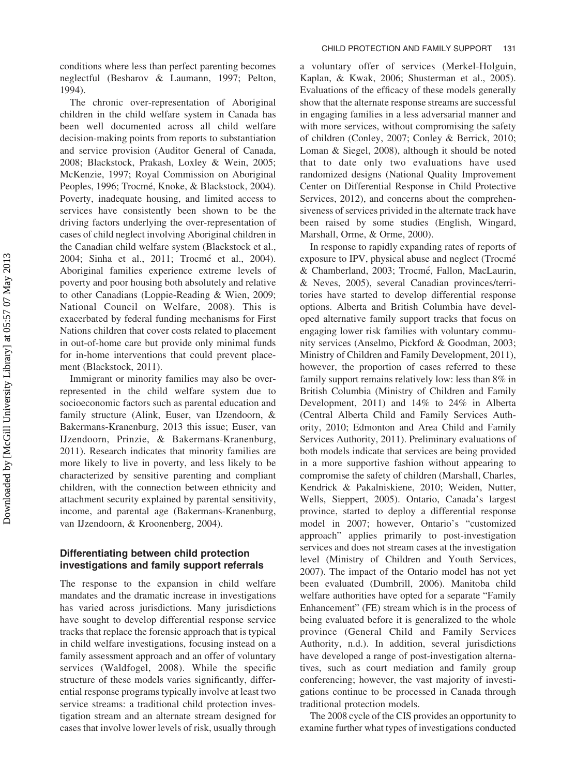conditions where less than perfect parenting becomes  $\frac{1004}{1004}$ 1994).

The chronic over-representation of Aboriginal children in the child welfare system in Canada has been well documented across all child welfare decision-making points from reports to substantiation and service provision (Auditor General of Canada, 2008; Blackstock, Prakash, Loxley & Wein, 2005; McKenzie, 1997; Royal Commission on Aboriginal Peoples, 1996; Trocmé, Knoke, & Blackstock, 2004). Poverty, inadequate housing, and limited access to services have consistently been shown to be the driving factors underlying the over-representation of cases of child neglect involving Aboriginal children in the Canadian child welfare system (Blackstock et al., 2004; Sinha et al., 2011; Trocmé et al., 2004). Aboriginal families experience extreme levels of poverty and poor housing both absolutely and relative to other Canadians (Loppie-Reading & Wien, 2009; National Council on Welfare, 2008). This is exacerbated by federal funding mechanisms for First Nations children that cover costs related to placement in out-of-home care but provide only minimal funds for in-home interventions that could prevent placement (Blackstock, 2011).

Immigrant or minority families may also be overrepresented in the child welfare system due to socioeconomic factors such as parental education and family structure (Alink, Euser, van IJzendoorn, & Bakermans-Kranenburg, 2013 this issue; Euser, van IJzendoorn, Prinzie, & Bakermans-Kranenburg, 2011). Research indicates that minority families are more likely to live in poverty, and less likely to be characterized by sensitive parenting and compliant children, with the connection between ethnicity and attachment security explained by parental sensitivity, income, and parental age (Bakermans-Kranenburg, van IJzendoorn, & Kroonenberg, 2004).

## Differentiating between child protection investigations and family support referrals

The response to the expansion in child welfare mandates and the dramatic increase in investigations has varied across jurisdictions. Many jurisdictions have sought to develop differential response service tracks that replace the forensic approach that is typical in child welfare investigations, focusing instead on a family assessment approach and an offer of voluntary services (Waldfogel, 2008). While the specific structure of these models varies significantly, differential response programs typically involve at least two service streams: a traditional child protection investigation stream and an alternate stream designed for cases that involve lower levels of risk, usually through

a voluntary offer of services (Merkel-Holguin, Kaplan, & Kwak, 2006; Shusterman et al., 2005). Kaplan,  $\alpha$  Kwak, 2000, Shusterman et al., 2005). Evaluations of the efficacy of these models generally show that the alternate response streams are successful in engaging families in a less adversarial manner and with more services, without compromising the safety of children (Conley, 2007; Conley & Berrick, 2010; Loman & Siegel, 2008), although it should be noted that to date only two evaluations have used randomized designs (National Quality Improvement Center on Differential Response in Child Protective Services, 2012), and concerns about the comprehensiveness of services privided in the alternate track have been raised by some studies (English, Wingard, Marshall, Orme, & Orme, 2000).

In response to rapidly expanding rates of reports of exposure to IPV, physical abuse and neglect (Trocmé & Chamberland, 2003; Trocmé, Fallon, MacLaurin, & Neves, 2005), several Canadian provinces/terri- $\alpha$  Neves, 2005), several Canadian provinces/territories have started to develop differential response options. Alberta and British Columbia have developed alternative family support tracks that focus on engaging lower risk families with voluntary community services (Anselmo, Pickford & Goodman, 2003; Ministry of Children and Family Development, 2011), however, the proportion of cases referred to these family support remains relatively low: less than 8% in British Columbia (Ministry of Children and Family Development, 2011) and 14% to 24% in Alberta (Central Alberta Child and Family Services Authority, 2010; Edmonton and Area Child and Family Services Authority, 2011). Preliminary evaluations of both models indicate that services are being provided in a more supportive fashion without appearing to compromise the safety of children (Marshall, Charles, Kendrick & Pakalniskiene, 2010; Weiden, Nutter, Wells, Sieppert, 2005). Ontario, Canada's largest province, started to deploy a differential response model in 2007; however, Ontario's "customized approach" applies primarily to post-investigation services and does not stream cases at the investigation level (Ministry of Children and Youth Services, 2007). The impact of the Ontario model has not yet been evaluated (Dumbrill, 2006). Manitoba child welfare authorities have opted for a separate "Family Enhancement" (FE) stream which is in the process of being evaluated before it is generalized to the whole province (General Child and Family Services Authority, n.d.). In addition, several jurisdictions have developed a range of post-investigation alternatives, such as court mediation and family group conferencing; however, the vast majority of investigations continue to be processed in Canada through traditional protection models.

The 2008 cycle of the CIS provides an opportunity to examine further what types of investigations conducted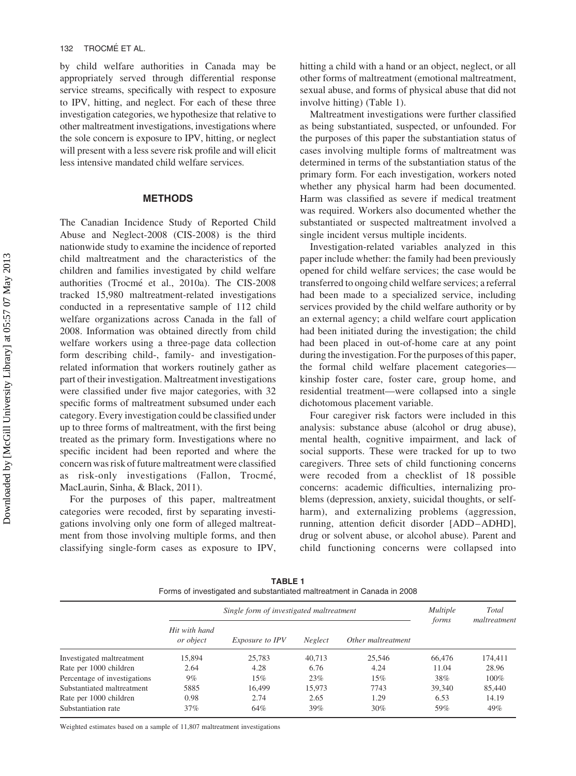by child welfare authorities in Canada may be appropriately served through differential response appropriately served through differential response service streams, specifically with respect to exposure to IPV, hitting, and neglect. For each of these three investigation categories, we hypothesize that relative to other maltreatment investigations, investigations where the sole concern is exposure to IPV, hitting, or neglect the sole concern is exposure to IPV, hitting, or neglect will present with a less severe risk profile and will elicit less intensive mandated child welfare services.

#### **METHODS**

The Canadian Incidence Study of Reported Child Abuse and Neglect-2008 (CIS-2008) is the third nationwide study to examine the incidence of reported child maltreatment and the characteristics of the children and families investigated by child welfare children and families investigated by child welfare authorities (Troche et al., 2010a). The CIS-2008 tracked 15,980 maltreatment-related investigations conducted in a representative sample of 112 child welfare organizations across Canada in the fail of 2008. Information was obtained directly from child welfare workers using a three-page data collection form describing child-, family- and investigationrelated information that workers routinely gather as part of their investigation. Maltreatment investigations<br>were classified under five major categories, with 32 specific forms of maltreatment subsumed under each specific forms of mattreatment subsumed under each category. Every investigation could be classified under up to three forms of maltreatment, with the first being treated as the primary form. Investigations where no specific incident had been reported and where the concern was risk of future maltreatment were classified concern was risk of future manteatment were classified as risk-only investigations (Fallon, Trocme, MacLaurin, Sinha, & Black, 2011).

For the purposes of this paper, maltreatment categories were recoded, first by separating investigations involving only one form of alleged maltreatment from those involving multiple forms, and then classifying single-form cases as exposure to IPV,

hitting a child with a hand or an object, neglect, or all other forms of maltreatment (emotional maltreatment.) other forms of maltreatment (emotional maltreatment, sexual abuse, and forms of physical abuse that did not involve hitting) (Table 1).<br>Maltreatment investigations were further classified

as being substantiated, suspected, or unfounded. For as being substantiated, suspected, or unfounded. For the purposes of this paper the substantiation status of cases involving multiple forms of maltreatment was primary form. For each investigation, workers noted whether any physical harm had been documented. whether any physical harm had been documented.  $\frac{1}{2}$  Harm was classified as severe if incureal treatment was required. Workers also documented whether the substantiated or suspected maltreatment involved a single incident versus multiple incidents.<br>Investigation-related variables analyzed in this

Investigation-related variables analyzed in this paper include whether: the family had been previously opened for child welfare services; the case would be transferred to ongoing child welfare services; a referral had been made to a specialized service, including services provided by the child welfare authority or by an external agency; a child welfare court application had been initiated during the investigation; the child had been placed in out-of-home care at any point had been placed in out-of-home care at any point during the investigation. For the purposes of this paper, the formal child welfare placement categories kinship foster care, foster care, group home, and residential treatment—were collapsed into a single dichotomous placement variable.

Four caregiver risk factors were included in this analysis: substance abuse (alcohol or drug abuse), mental health, cognitive impairment, and lack of social supports. These were tracked for up to two caregivers. Three sets of child functioning concerns were recoded from a checklist of 18 possible concerns: academic difficulties, internalizing problems (depression, anxiety, suicidal thoughts, or selfharm), and externalizing problems (aggression, running, attention deficit disorder [ADD–ADHD], drug or solvent abuse, or alcohol abuse). Parent and child functioning concerns were collapsed into

TABLE 1 Forms of investigated and substantiated maltreatment in Canada in 2008

|                              |                            | Single form of investigated maltreatment |                |                    | Multiple<br>forms | Total<br>maltreatment |
|------------------------------|----------------------------|------------------------------------------|----------------|--------------------|-------------------|-----------------------|
|                              | Hit with hand<br>or object | <i>Exposure to IPV</i>                   | <b>Neglect</b> | Other maltreatment |                   |                       |
| Investigated maltreatment    | 15.894                     | 25,783                                   | 40,713         | 25.546             | 66,476            | 174,411               |
| Rate per 1000 children       | 2.64                       | 4.28                                     | 6.76           | 4.24               | 11.04             | 28.96                 |
| Percentage of investigations | $9\%$                      | 15%                                      | 23%            | 15%                | 38%               | 100%                  |
| Substantiated maltreatment   | 5885                       | 16.499                                   | 15.973         | 7743               | 39,340            | 85,440                |
| Rate per 1000 children       | 0.98                       | 2.74                                     | 2.65           | 1.29               | 6.53              | 14.19                 |
| Substantiation rate          | 37%                        | 64%                                      | 39%            | 30%                | 59%               | 49%                   |
|                              |                            |                                          |                |                    |                   |                       |

Weighted estimates based on a sample of 11,807 maltreatment investigations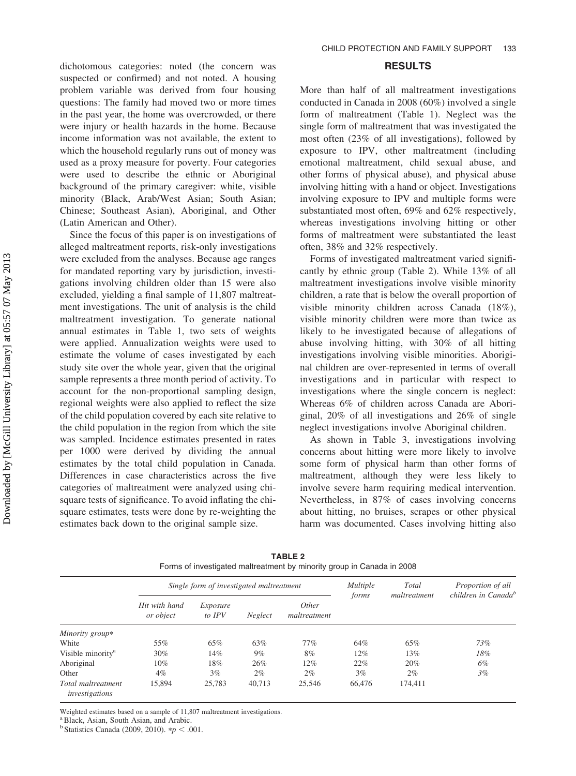dichotomous categories: noted (the concern was suspected or confirmed) and not noted. A housing suspected or confirmed) and not noted. A housing problem variable was derived from four housing questions: The family had moved two or more times in the past year, the home was overcrowded, or there were injury or health hazards in the home. Because<br>income information was not available, the extent to income information was not available, the extent to which the household regularly runs out of money was used as a proxy measure for poverty. Four categories were used to describe the ethnic or Aboriginal background of the primary caregiver: white, visible minority (Black, Arab/West Asian; South Asian; Chinese; Southeast Asian), Aboriginal, and Other (Latin American and Other).

Since the focus of this paper is on investigations of alleged maltreatment reports, risk-only investigations were excluded from the analyses. Because age ranges for mandated reporting vary by jurisdiction, investigations involving children older than 15 were also excluded, yielding a final sample of 11,807 maltreatment investigations. The unit of analysis is the child maltreatment investigation. To generate national annual estimates in Table 1, two sets of weights were applied. Annualization weights were used to estimate the volume of cases investigated by each study site over the whole year, given that the original sample represents a three month period of activity. To account for the non-proportional sampling design, regional weights were also applied to reflect the size of the child population covered by each site relative to the child population in the region from which the site was sampled. Incidence estimates presented in rates per 1000 were derived by dividing the annual estimates by the total child population in Canada. Differences in case characteristics across the five categories of maltreatment were analyzed using chisquare tests of significance. To avoid inflating the chisquare estimates, tests were done by re-weighting the estimates back down to the original sample size.

#### RESULTS

More than half of all maltreatment investigations conducted in Canada in 2008 (60%) involved a single conducted in Canada in 2008 (60%) involved a single form of maltreatment (Table 1). Neglect was the single form of maltreatment that was investigated the most often (23% of all investigations), followed by exposure to IPV, other maltreatment (including emotional maltreatment, child sexual abuse, and other forms of physical abuse), and physical abuse involving hitting with a hand or object. Investigations involving exposure to IPV and multiple forms were substantiated most often, 69% and 62% respectively, whereas investigations involving hitting or other forms of maltreatment were substantiated the least often, 38% and 32% respectively.

Forms of investigated maltreatment varied significantly by ethnic group (Table 2). While 13% of all maltreatment investigations involve visible minority children, a rate that is below the overall proportion of visible minority children across Canada (18%), visible minority children were more than twice as likely to be investigated because of allegations of abuse involving hitting, with 30% of all hitting investigations involving visible minorities. Aboriginal children are over-represented in terms of overall investigations and in particular with respect to investigations where the single concern is neglect: Whereas 6% of children across Canada are Aboriginal, 20% of all investigations and 26% of single neglect investigations involve Aboriginal children.

As shown in Table 3, investigations involving concerns about hitting were more likely to involve some form of physical harm than other forms of maltreatment, although they were less likely to involve severe harm requiring medical intervention. Nevertheless, in 87% of cases involving concerns about hitting, no bruises, scrapes or other physical harm was documented. Cases involving hitting also

|                                      |                            | Single form of investigated maltreatment |                |                       | Multiple<br>forms | Total<br>maltreatment | Proportion of all<br>children in Canada <sup>b</sup> |
|--------------------------------------|----------------------------|------------------------------------------|----------------|-----------------------|-------------------|-----------------------|------------------------------------------------------|
|                                      | Hit with hand<br>or object | Exposure<br>to IPV                       | <b>Neglect</b> | Other<br>maltreatment |                   |                       |                                                      |
| Minority group*                      |                            |                                          |                |                       |                   |                       |                                                      |
| White                                | 55%                        | 65%                                      | 63%            | 77%                   | 64%               | 65%                   | 73%                                                  |
| Visible minority <sup>a</sup>        | 30%                        | 14%                                      | 9%             | 8%                    | 12%               | 13%                   | 18%                                                  |
| Aboriginal                           | 10%                        | 18%                                      | 26%            | 12%                   | 22%               | 20%                   | 6%                                                   |
| Other                                | $4\%$                      | $3\%$                                    | 2%             | $2\%$                 | $3\%$             | $2\%$                 | $3\%$                                                |
| Total maltreatment<br>investigations | 15.894                     | 25,783                                   | 40,713         | 25,546                | 66,476            | 174,411               |                                                      |

TABLE 2 Forms of investigated maltreatment by minority group in Canada in 2008

Weighted estimates based on a sample of 11,807 maltreatment investigations.

<sup>a</sup> Black, Asian, South Asian, and Arabic.

<sup>b</sup> Statistics Canada (2009, 2010).  $\ast p < .001$ .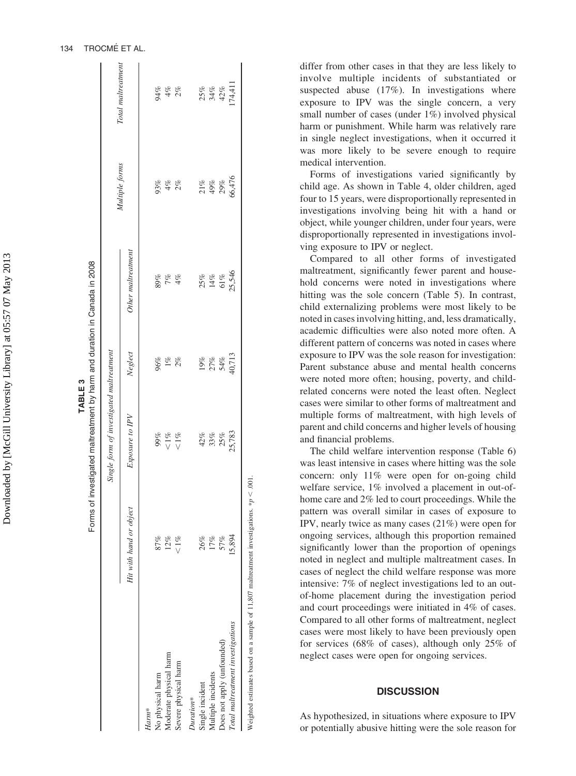|                                                                             | Forms                   | of investigated maltreatment by harm and duration in Canada in 2008 |         |                    |                             |                    |
|-----------------------------------------------------------------------------|-------------------------|---------------------------------------------------------------------|---------|--------------------|-----------------------------|--------------------|
|                                                                             |                         | Single form of investigated maltreatment                            |         |                    |                             |                    |
|                                                                             | Hit with hand or object | Exposure to IPV                                                     | Neglect | Other maltreatment | Multiple forms              | Total maltreatment |
| Harm*                                                                       |                         |                                                                     |         |                    |                             |                    |
| No physical harm                                                            | 87%                     |                                                                     | 96%     | 89%                |                             |                    |
| Moderate physical harm                                                      | 12%                     | $9%$<br>$7%$<br>$7%$                                                | $1\%$   | $7\%$              | 93%<br>4%<br>2%             | 94%<br>4%<br>2%    |
| Severe physical harm                                                        | $1\%$                   |                                                                     | 2%      | 4%                 |                             |                    |
| Duration*                                                                   |                         |                                                                     |         |                    |                             |                    |
| single incident                                                             | 26%                     |                                                                     | 19%     |                    |                             |                    |
| Multiple incidents                                                          | 17%                     | 42%<br>33%                                                          | 27%     | 25%<br>14%         | 21%<br>49%<br>29%<br>66,476 | 25%<br>34%<br>42%  |
| Does not apply (unfounded)                                                  | 57%                     | 25%                                                                 | 54%     | $61\%$             |                             |                    |
| Total maltreatment investigations                                           | 15,894                  | 25,783                                                              | 40,713  | 25,546             |                             | 174,411            |
| Weighted estimates based on a sample of 11,807 maltreatment investigations. | $100' > d*$             |                                                                     |         |                    |                             |                    |

differ from other cases in that they are less likely to mvolve multiple incluents of substantiated of suspected abuse (17%). In investigations where exposure to IPV was the single concern, a very small number of cases (under 1%) involved physical harm or punishment. While harm was relatively rare in single neglect investigations, when it occurred it was more likely to be severe enough to require medical intervention.

Forms of investigations varied significantly by child age. As shown in Table 4, older children, aged four to 15 years, were disproportionally represented in investigations involving being hit with a hand or object, while younger children, under four years, were disproportionally represented in investigations involving exposure to IPV or neglect.

Compared to all other forms of investigate d maltreatment, significantly fewer parent and household concerns were noted in investigations where hitting was the sole concern (Table 5). In contrast, child externalizing problems were most likely to b e noted in cases involving hitting, and, less dramatically, academic difficulties were also noted more often. A different pattern of concerns was noted in cases where exposure to IPV was the sole reason for investigation. Parent substance abuse and mental health concerns were noted more often; housing, poverty, and childrelated concerns were noted the least often. Neglect cases were similar to other forms of maltreatment and multiple forms of maltreatment, with high levels of parent and child concerns and higher levels of housing and financial problems.

The child welfare intervention response (Table 6) was least intensive in cases where hitting was the sole concern: only 11% were open for on-going child welfare service, 1% involved a placement in out-ofhome care and 2% led to court proceedings. While the pattern was overall similar in cases of exposure to IPV, nearly twice as many cases (21%) were open for ongoing services, although this proportion remained significantly lower than the proportion of openings noted in neglect and multiple maltreatment cases. In cases of neglect the child welfare response was more intensive: 7% of neglect investigations led to an outof-home placement during the investigation period and court proceedings were initiated in 4% of cases. Compared to all other forms of maltreatment, neglect cases were most likely to have been previously open for services (68% of cases), although only 25% of neglect cases were open for ongoing services.

## **DISCUSSION**

As hypothesized, in situations where exposure to IPV or potentially abusive hitting were the sole reason for

TABLE 3<br>Forms of investigated maltreatment by harm and duration in Canada in 2008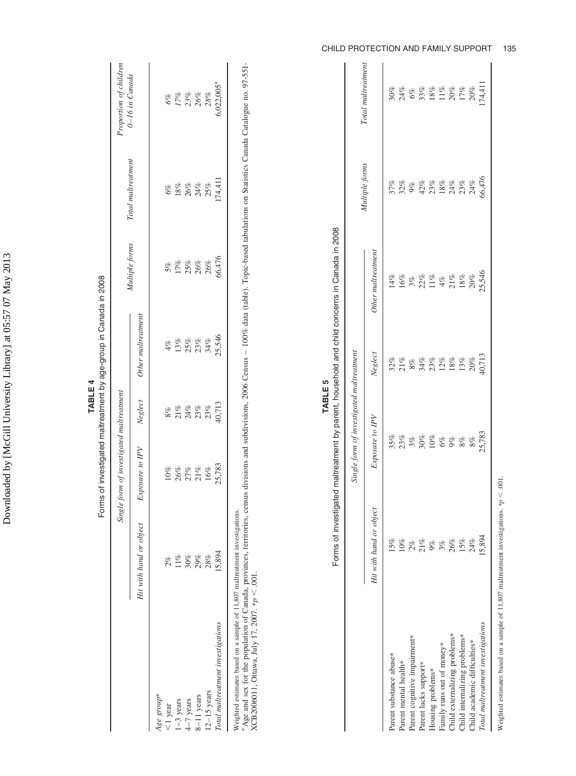| ا<br>۱ |
|--------|
| I      |
|        |
|        |
| l      |
|        |
| l      |
| i      |
|        |
| ו<br>ו |
|        |
|        |
| I<br>١ |
|        |
|        |
| i      |
| l<br>I |
|        |
| i      |
| j<br>l |
|        |
|        |
| l<br>I |
|        |
| i      |
|        |
|        |
| l<br>l |
|        |
| i      |
|        |
|        |
| l      |
|        |
|        |
|        |
| ļ      |

|                                   |                         |                                           |                   | Forms of investigated maltreatment by age-group in Canada in 2008 |                                    |                            |                                          |
|-----------------------------------|-------------------------|-------------------------------------------|-------------------|-------------------------------------------------------------------|------------------------------------|----------------------------|------------------------------------------|
|                                   |                         | Single form of investigated maltreatment  |                   |                                                                   |                                    |                            | Proportion of children<br>0–16 in Canada |
|                                   | Hit with hand or object | Exposure to IPV Neglect                   |                   | Other maltreatment                                                | Multiple forms                     | Total maltreatment         |                                          |
| $4ge$ group*                      |                         |                                           |                   |                                                                   |                                    |                            |                                          |
| $1$ year                          | 2%                      |                                           |                   |                                                                   |                                    |                            |                                          |
| $-3$ years                        | $11\%$                  | $10%$<br>$26%$<br>$27%$<br>$16%$<br>$16%$ | 8%<br>25%<br>253% | $\frac{4\%}{13\%}$                                                | 5%<br>17%<br>25%<br>26%<br>26%,476 | 6%<br>18% %<br>2013<br>20% | 6%<br>17%<br>28%<br>28%                  |
|                                   |                         |                                           |                   |                                                                   |                                    |                            |                                          |
| $4-7$ years<br>8-11 years         | $30%$<br>$29%$<br>$28%$ |                                           |                   | <b>25%</b><br>23%<br>34%                                          |                                    |                            |                                          |
| $12-15$ years                     |                         |                                           |                   |                                                                   |                                    |                            |                                          |
| Total maltreatment investigations | 15,894                  | 25,783                                    | 40,713            | 25,546                                                            |                                    | 174,411                    | $6,022,005^{a}$                          |
|                                   |                         |                                           |                   |                                                                   |                                    |                            |                                          |

an in ONO م<br>ع TABLE 4 ŧ a potr .<br>پ đ Ľ

Weighted estimates based on a sample of 11,807 maltreatment investigations.

Weighted estimates based on a sample of 11,807 maltreatment investigations.<br><sup>a</sup> Age and sex for the population of Canada, provinces, territories, census divisions and subdivisions, 2006 Census – 100% data (table). Topic-b Age and sex for the population of Canada, provinces, territories, census divisions and subdivisions, 2006 Census – 100% data (table). Topic-based tabulations on Statistics Canada Catalogue no. 97-551-551-5551-5551-551-551- $XCB2006011, Ottawa, July 17, 2007.  $*p < .001$ .$ 

|                                   |                         |                                          | TABLE <sub>5</sub>      | Forms of investigated maltreatment by parent, household and child concerns in Canada in 2008 |                                           |                                       |
|-----------------------------------|-------------------------|------------------------------------------|-------------------------|----------------------------------------------------------------------------------------------|-------------------------------------------|---------------------------------------|
|                                   |                         | Single form of investigated maltreatment |                         |                                                                                              | Multiple forms                            | Total maltreatment                    |
|                                   | Hit with hand or object | Exposure to IPV                          | Neglect                 | Other maltreatmen:                                                                           |                                           |                                       |
| Parent substance abuse*           | 15%                     |                                          | 32%                     | 14%                                                                                          | 37%                                       |                                       |
| Parent mental health*             | 10%                     |                                          |                         | 16%                                                                                          | 32%                                       |                                       |
| Parent cognitive impairment*      | 2%                      |                                          |                         | $3\%$                                                                                        | $9\%$                                     |                                       |
| Parent lacks support*             | 21%                     |                                          |                         | 22%                                                                                          |                                           |                                       |
| Housing problems*                 | 9%                      | \$\$\$<br>\$\$\$\$<br>\$\$\$\$           | 21%<br>8%<br>34%<br>23% | 11%                                                                                          | 8 8 8 8 8 8<br>4 7 8 7 7 7<br>4 7 8 7 7 7 | 30%<br>24% & % % % % 20%<br>20% H 20% |
| Family runs out of money*         | 3%                      |                                          |                         | $\frac{4\%}{21\%}$                                                                           |                                           |                                       |
| Child externalizing problems*     | $26\%$<br>15%           |                                          | 18%                     |                                                                                              |                                           |                                       |
| Child internalizing problems*     |                         | 8%                                       | 13%                     | 18%                                                                                          |                                           |                                       |
| Child academic difficulties*      | 24%                     | $8\%$                                    | 20%                     | 20%                                                                                          |                                           | 20%                                   |
| Total maltreatment investigations | 15.894                  | 25,783                                   | 40,713                  | 25,546                                                                                       | 66,476                                    | 74,41                                 |
|                                   |                         |                                          |                         |                                                                                              |                                           |                                       |

Weighted estimates based on a sample of 11,807 maltreatment investigations.  $* p < .001$ . Weighted estimates based on a sample of 11,807 maltreatment investigations.  $*_{P}$  < .001.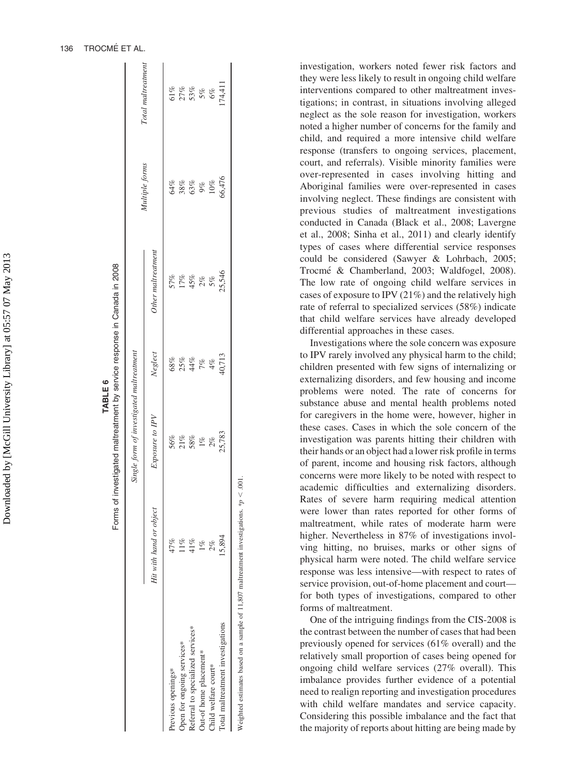| $\tilde{\zeta}$<br>l<br>J |
|---------------------------|
|                           |
|                           |
|                           |
|                           |
|                           |
|                           |
|                           |
| くしゅんしん じんしん               |
|                           |
|                           |
|                           |
| ı.<br>I                   |
|                           |
|                           |
| ì                         |
|                           |
| I                         |
|                           |
|                           |
| $\frac{1}{2}$             |
|                           |
|                           |
|                           |
| וני בני באינו             |
|                           |
|                           |
|                           |
|                           |
| .                         |
|                           |
|                           |
|                           |
|                           |
|                           |
|                           |
|                           |
|                           |
| ļ                         |

|                                   |                         | Forms of investigated maltreatment by service response in Canada in 2008 | TABLE6  |                    |                |                        |
|-----------------------------------|-------------------------|--------------------------------------------------------------------------|---------|--------------------|----------------|------------------------|
|                                   |                         | Single form of investigated maltreatment                                 |         |                    |                |                        |
|                                   | Hit with hand or object | Exposure to IPV                                                          | Neglect | Other maltreatment | Multiple forms | Total maltreatment     |
| Previous openings*                | 47%                     | 56%                                                                      | $68\%$  | 57%                | 64%            | 61%                    |
| Open for ongoing services*        | $1\%$                   | $21\%$                                                                   | 25%     | 17%                | 38%            | 27%<br>53%<br>5%<br>6% |
| Referral to specialized services* | 41%                     | 58%                                                                      | $44\%$  | 45%                | 63%            |                        |
| Out-of home placement*            | $1\%$                   | $1\%$                                                                    | 7%      | 2%                 | $9\%$          |                        |
| Child welfare court*              | 2%                      | 2%                                                                       | $4\%$   | 5%                 | 10%            |                        |
| Total maltreatment investigations | 5,894                   | 25,783                                                                   | 40,713  | 25,546             | 66,476         | [74, 41]               |

Weighted estimates based on a sample of 11,807 maltreatment investigations.  $* p < .001$ .

Weighted estimates based on a sample of 11,807 maltreatment investigations.  $* p < .001$ 

investigation, workers noted fewer risk factors and they were less likely to result in ongoing child welfare they were less likely to result in ongoing child welfare interventions compared to other maltreatment investigations; in contrast, in situations involving alleged neglect as the sole reason for investigation, workers noted a higher number of concerns for the family and child, and required a more intensive child welfare response (transfers to ongoing services, placement, court, and referrals). Visible minority families were over-represented in cases involving hitting an d Aboriginal families were over-represented in cases involving neglect. These findings are consistent with previous studies of maltreatment investigation s conducted in Canada (Black et al., 2008; Lavergne types of cases where differential service responses types of cases where differential service responses could be considered (Sawyer & Lohrbach, 2005, Trocmé & Chamberland, 2003; Waldfogel, 2008). The low rate of ongoing child welfare services in cases of exposure to IPV (21%) and the relatively high rate of referral to specialized services (58%) indicate that child welfare services have already developed differential approaches in these cases. Investigations where the sole concern was exposure

to IPV rarely involved any physical harm to the child; children presented with few signs of internalizing or externalizing disorders, and few housing and income problems were noted. The rate of concerns for substance abuse and mental health problems noted for caregivers in the home were, however, higher in these cases. Cases in which the sole concern of the investigation was parents hitting their children with their hands or an object had a lower risk profile in terms of parent, income and housing risk factors, although concerns were more likely to be noted with respect to academic difficulties and externalizing disorders. Rates of severe harm requiring medical attention were lower than rates reported for other forms of maltreatment, while rates of moderate harm were higher. Nevertheless in 87% of investigations involving hitting, no bruises, marks or other signs of physical harm were noted. The child welfare service response was less intensive—with respect to rates of service provision, out-of-home placement and court for both types of investigations, compared to other forms of maltreatment .

One of the intriguing findings from the CIS-2008 i s the contrast between the number of cases that had been previously opened for services (61% overall) and the relatively small proportion of cases being opened for ongoing child welfare services (27% overall). This imbalance provides further evidence of a potential need to realign reporting and investigation procedures with child welfare mandates and service capacity. Considering this possible imbalance and the fact that the majority of reports about hitting are being made by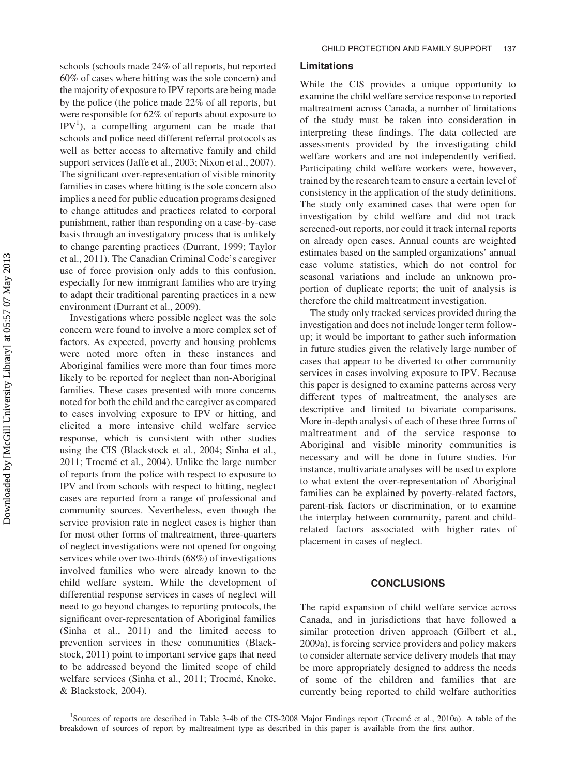schools (schools made 24% of all reports, but reported 60% of cases where hitting was the sole concern) and 60% of cases where hitting was the sole concern) and the majority of exposure to IPV reports are being made by the police (the police made 22% of all reports, but were responsible for 62% of reports about exposure to  $IPV'$ ), a compelling argument can be made that  $IPV'$ schools and police need different referral protocols as<br>well as better access to alternative family and child well as better access to alternative family and child support services (Jaffe et al., 2003; Nixon et al., 2007). The significant over-representation of visible minority families in cases where hitting is the sole concern also implies a need for public education programs designed to change attitudes and practices related to corporal punishment, rather than responding on a case-by-case basis through an investigatory process that is unlikely to change parenting practices (Durrant, 1999; Taylor to change parenting practices (Durrant, 1999; Taylor) et al., 2011). The Canadian Criminal Code's caregiver use of force provision only adds to this confusion, especially for new immigrant families who are trying to adapt their traditional parenting practices in a new<br>environment (Durrant et al., 2009).

environment (Durrant et al., 2009). Investigations where possible neglect was the sole concern were found to involve a more complex set of factors. As expected, poverty and housing problems were noted more often in these instances and Aboriginal families were more than four times more likely to be reported for neglect than non-Aboriginal families. These cases presented with more concerns noted for both the child and the caregiver as compared to cases involving exposure to IPV or hitting, and elicited a more intensive child welfare service response, which is consistent with other studies using the CIS (Blackstock et al., 2004; Sinha et al., 2011; Trocmé et al., 2004). Unlike the large number of reports from the police with respect to exposure to IPV and from schools with respect to hitting, neglect cases are reported from a range of professional and community sources. Nevertheless, even though the service provision rate in neglect cases is higher than for most other forms of maltreatment, three-quarters of neglect investigations were not opened for ongoing services while over two-thirds (68%) of investigations involved families who were already known to the child welfare system. While the development of differential response services in cases of neglect will need to go beyond changes to reporting protocols, the significant over-representation of Aboriginal families (Sinha et al., 2011) and the limited access to prevention services in these communities (Blackstock, 2011) point to important service gaps that need to be addressed beyond the limited scope of child welfare services (Sinha et al., 2011; Trocmé, Knoke, & Blackstock, 2004).

#### Limitations

While the CIS provides a unique opportunity to examine the child welfare service response to reported examine the child welfare service response to reported maltreatment across Canada, a number of limitations of the study must be taken into consideration in interpreting these findings. The data collected are assessments provided by the investigating child welfare workers and are not independently verified. Participating child welfare workers were, however, trained by the research team to ensure a certain level of consistency in the application of the study definitions. The study only examined cases that were open for investigation by child welfare and did not track screened-out reports, nor could it track internal reports on already open cases. Annual counts are weighted estimates based on the sampled organizations' annual case volume statistics, which do not control for seasonal variations and include an unknown proportion of duplicate reports; the unit of analysis is therefore the child maltreatment investigation.

The study only tracked services provided during the investigation and does not include longer term followup; it would be important to gather such information in future studies given the relatively large number of cases that appear to be diverted to other community services in cases involving exposure to IPV. Because this paper is designed to examine patterns across very different types of maltreatment, the analyses are descriptive and limited to bivariate comparisons. More in-depth analysis of each of these three forms of maltreatment and of the service response to Aboriginal and visible minority communities is necessary and will be done in future studies. For instance, multivariate analyses will be used to explore to what extent the over-representation of Aboriginal families can be explained by poverty-related factors, parent-risk factors or discrimination, or to examine the interplay between community, parent and childrelated factors associated with higher rates of placement in cases of neglect.

## **CONCLUSIONS**

The rapid expansion of child welfare service across Canada, and in jurisdictions that have followed a similar protection driven approach (Gilbert et al., 2009a), is forcing service providers and policy makers to consider alternate service delivery models that may be more appropriately designed to address the needs of some of the children and families that are currently being reported to child welfare authorities

<sup>&</sup>lt;sup>1</sup>Sources of reports are described in Table 3-4b of the CIS-2008 Major Findings report (Trocme et al., 2010a). A table of the breakdown of sources of report by maltreatment type as described in this paper is available from the first author.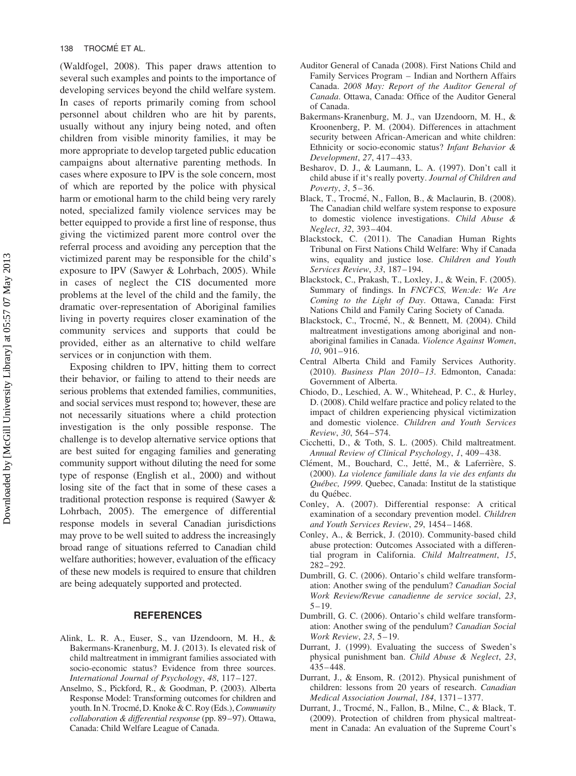(Waldfogel, 2008). This paper draws attention to several such examples and points to the importance of several such examples and points to the importance of developing services beyond the child welfare system. In cases of reports primarily coming from school personnel about children who are hit by parents, usually without any injury being noted, and often children from visible minority families, it may be more appropriate to develop targeted public education campaigns about alternative parenting methods. In cases where exposure to IPV is the sole concern, most of which are reported by the police with physical harm or emotional harm to the child being very rarely noted, specialized family violence services may be better equipped to provide a first line of response, thus giving the victimized parent more control over the referral process and avoiding any perception that the victimized parent may be responsible for the child's exposure to IPV (Sawyer & Lohrbach, 2005). While in cases of neglect the CIS documented more problems at the level of the child and the family, the dramatic over-representation of Aboriginal families living in poverty requires closer examination of the community services and supports that could be provided, either as an alternative to child welfare services or in conjunction with them.

Exposing children to IPV, hitting them to correct their behavior, or failing to attend to their needs are serious problems that extended families, communities, and social services must respond to; however, these are not necessarily situations where a child protection investigation is the only possible response. The challenge is to develop alternative service options that are best suited for engaging families and generating community support without diluting the need for some type of response (English et al., 2000) and without losing site of the fact that in some of these cases a traditional protection response is required (Sawyer & Lohrbach, 2005). The emergence of differential response models in several Canadian jurisdictions may prove to be well suited to address the increasingly broad range of situations referred to Canadian child welfare authorities; however, evaluation of the efficacy of these new models is required to ensure that children are being adequately supported and protected.

#### **REFERENCES**

- Alink, L. R. A., Euser, S., van IJzendoorn, M. H., & Bakermans-Kranenburg, M. J. (2013). Is elevated risk of child maltreatment in immigrant families associated with socio-economic status? Evidence from three sources. International Journal of Psychology, <sup>48</sup>, 117– 127.
- Anselmo, S., Pickford, R., & Goodman, P. (2003). Alberta Response Model: Transforming outcomes for children and Response Model: Transforming outcomes for children and<br>youth.In N. Trocme<sup>{1}</sup>, D. Knoke & C. Roy (Eds.), Community collaboration & differential response (pp. 89–97). Ottawa, Canada: Child Welfare League of Canada.
- Auditor General of Canada (2008). First Nations Child and Family Services Program – Indian and Northern Affairs Canada. <sup>2008</sup> May: Report of the Auditor General of Canada. Ottawa, Canada: Office of the Auditor General
- Bakermans-Kranenburg, M. J., van IJzendoorn, M. H., & Kroonenberg, P. M. (2004). Differences in attachment security between African-American and white children: security between African-American and white children:<br>Ethnicity or socio-economic status? Infant Behavior & Development, 27, 417–433.<br>Besharov, D. J., & Laumann, L. A. (1997). Don't call it
- Besharov, D. J., & Laumann, L. A. (1997). Don't can it child abuse if it's really poverty. Journal of Children and Poverty, 3, 5–36.
- Black, T., Trocmé, N., Fallon, B., & Maclaurin, B. (2008). The Canadian child welfare system response to exposure to domestic violence investigations. Child Abuse & Neglect, <sup>32</sup>, 393– 404.
- Blackstock, C. (2011). The Canadian Human Rights Tribunal on First Nations Child Welfare: Why if Canada<br>wins, equality and justice lose. Children and Youth Services Review, <sup>33</sup>, 187–194.
- Blackstock, C., Prakash, T., Loxley, J., & Wein, F. (2005). Summary of findings. In FNCFCS, Wen:de: We Are Coming to the Light of Day. Ottawa, Canada: First Nations Child and Family Caring Society of Canada.
- Blackstock, C., Trocmé, N., & Bennett, M. (2004). Child maltreatment investigations among aboriginal and nonaboriginal families in Canada. Violence Against Women,  $10, 901 - 916.$
- Central Alberta Child and Family Services Authority. (2010). Business Plan 2010– 13. Edmonton, Canada: Government of Alberta.
- Chiodo, D., Leschied, A. W., Whitehead, P. C., & Hurley, D. (2008). Child welfare practice and policy related to the impact of children experiencing physical victimization and domestic violence. Children and Youth Services Review, 30, 564–574.<br>Cicchetti, D., & Toth, S. L. (2005). Child maltreatment.
- Cicchetti, D., & Toth, S. L. (2005). Child maltreatment. Annual Review of Clinical Psychology, <sup>1</sup>, 409– 438.
- Clement, M., Bouchard, C., Jette, M., & Laferriefe, S.<br>(2000). La violence familiale dans la vie des enfants du Québec, 1999. Quebec, Canada: Institut de la statistique du Québec.
- Conley, A. (2007). Differential response: A critical examination of a secondary prevention model. Children<br>examination of a secondary prevention model. Children and Youth Services Review, <sup>29</sup>, 1454– 1468.
- Conley, A., & Berrick, J. (2010). Community-based child abuse protection: Outcomes Associated with a differential program in California. Child Maltreatment, <sup>15</sup>, 282– 292.
- Dumbrill, G. C. (2006). Ontario's child welfare transformation: Another swing of the pendulum? Canadian Social Work Review/Revue canadienne de service social, <sup>23</sup>, 5 –19.
- $D$ umbrill, G. C. (2000). Ontario's child welfare transformation: Another swing of the pendulum? Canadian Social Work Review, <sup>23</sup>, 5– 19.
- Durrant, J. (1999). Evaluating the success of Sweden's physical punishment ban. Child Abuse & Neglect, <sup>23</sup>, 435– 448.
- Durrant, J., & Ensom, R. (2012). Physical punishment of children: lessons from <sup>20</sup> years of research. Canadian Medical Association Journal, <sup>184</sup>, 1371– 1377.
- Durrant, J., Trocmé, N., Fallon, B., Milne, C., & Black, T. (2009). Protection of children from physical maltreatment in Canada: An evaluation of the Supreme Court's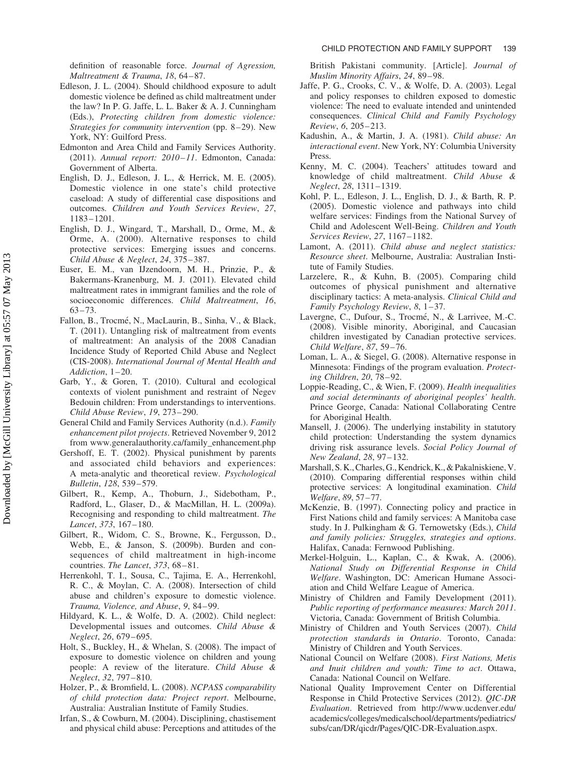definition of reasonable force. Journal of Agression,

- Maltreatment & Trauma, 18, 64–87.<br>Edleson, J. L. (2004). Should childhood exposure to adult Edleson, J. L. (2004). Should childhood exposure to adult domestic violence be defined as child maltreatment under<br>the level In D. C. Jeffe J. J. Delter & A. J. Cunninghom the law? In P. G. Jane, L. L. Baker & A. J. Cunningham<br>(Eds.), *Protecting children from domestic violence:* Strategies for community intervention (pp. 8–29). New York, NY: Guilford Press.
- Edmonton and Area Child and Family Services Authority. Edmonton and Area Child and Family Services Authority.<br>
(2011). Annual report: 2010–11. Edmonton, Canada: Government of Alberta.<br>English, D. J., Edleson, J. L., & Herrick, M. E. (2005).
- Domestic violence in one state's child protective Domestic violence in one state's child protective caseload: A study of differential case dispositions and<br> $C_1$ outcomes. Children and Youth Services Review, 27, 1183-1201.
- English, D. J., Wingard, T., Marshall, D., Orme, M., & English, D. J., Wingard, T., Marshall, D., Oline, M.,  $\alpha$ Orme, A. (2000). Alternative responses to child protective services: Emerging issues and concerns. Child Abuse & Neglect, 24, 375-387.
- Euser, E. M., van IJzendoorn, M. H., Prinzie, P., & Bakermans-Kranenburg, M. J. (2011). Elevated child maltreatment rates in immigrant families and the role of socioeconomic differences. Child Maltreatment, 16,  $63-73$ . 63– 73.
- Fallon, B., Trochie, N., MacLaurin, B., Sinha, V., & Black, T. (2011). Untangling risk of maltreatment from events of maltreatment: An analysis of the 2008 Canadian Incidence Study of Reported Child Abuse and Neglect (CIS-2008). International Journal of Mental Health and Addiction, 1-20.
- Garb, Y., & Goren, T. (2010). Cultural and ecological contexts of violent punishment and restraint of Negev Bedouin children: From understandings to interventions. Child Abuse Review, <sup>19</sup>, 273– 290.
- General Child and Family Services Authority (n.d.). Family enhancement pilot projects. Retrieved November 9, <sup>2012</sup> from www.generalauthority.ca/family\_enhancement.php
- Gershoff, E. T. (2002). Physical punishment by parents and associated child behaviors and experiences: and associated child behaviors and experiences.<br>A meta-analytic and theoretical review. *Psychological* Bulletin, <sup>128</sup>, 539– 579.
- Gilbert, R., Kemp, A., Thoburn, J., Sidebotham, P., Radford, L., Glaser, D., & MacMillan, H. L. (2009a). Radiord, L., Glaser, D., & MacMillan, H. L. (2009a).<br>Recognising and responding to child maltreatment. The Lancet, <sup>373</sup>, 167– 180.
- Gilbert, R., Widom, C. S., Browne, K., Fergusson, D., Webb, E., & Janson, S. (2009b). Burden and consequences of child maltreatment in high-income countries. The Lancet, <sup>373</sup>, 68–81.
- Herrenkohl, T. I., Sousa, C., Tajima, E. A., Herrenkohl, R. C., & Moylan, C. A. (2008). Intersection of child abuse and children's exposure to domestic violence. Trauma, Violence, and Abuse, <sup>9</sup>, 84–99.
- Hildyard, K. L., & Wolfe, D. A. (2002). Child neglect: Developmental issues and outcomes. Child Abuse & Neglect, <sup>26</sup>, 679– 695.
- Holt, S., Buckley, H., & Whelan, S. (2008). The impact of exposure to domestic violence on children and young people: A review of the literature. Child Abuse & Neglect, <sup>32</sup>, 797– 810.
- Holzer, P., & Bromfield, L. (2008). NCPASS comparability of child protection data: Project report. Melbourne, Australia: Australian Institute of Family Studies.
- Irfan, S., & Cowburn, M. (2004). Disciplining, chastisement and physical child abuse: Perceptions and attitudes of the

British Pakistani community. [Article]. Journal of Muslim Minority Affairs, 24, 89-98.<br>Jaffe, P. G., Crooks, C. V., & Wolfe, D. A. (2003). Legal

- and policy responses to children exposed to domestic violence: The need to evaluate intended and unintended violence: The need to evaluate intended and unintended<br>consequences. Clinical Child and Family Psychology Review, <sup>6</sup>, 205– 213.
- Kadushin, A., & Martin, J. A. (1981). Child abuse: An interactional event. New York, NY: Columbia University<br>Press
- Kenny, M. C. (2004). Teachers' attitudes toward and Kenny, M. C. (2004). Teachers' attitudes toward and<br>
knowledge of child maltreatment. Child Abuse &<br>
Neglect 2111 1210 Neglect, 28, 1311–1319.<br>Kohl, P. L., Edleson, J. L., English, D. J., & Barth, R. P.
- (2005). Domestic violence and pathways into child  $(2005)$ . Domestic violence and pathways into child welfare services. Finality's from the National Survey of Child and Adolescent Well-Being. Children and Youth Services Review, <sup>27</sup>, 1167–1182.
- Lamont, A. (2011). Child abuse and neglect statistics: Resource sheet. Melbourne, Australia: Australian Institute of Family Studies.
- Larzelere, R., & Kuhn, B. (2005). Comparing child outcomes of physical punishment and alternative outcomes of physical punishment and alternative<br>disciplinary tactics: A meta-analysis. Clinical Child and<br>Equilible Pauchelon: Pauline 8, 1, 2, Family Psychology Review, 8, 1-37.
- Lavergne, C., Dufour, S., Trocmé, N., & Larrivee, M.-C. (2008). Visible minority, Aboriginal, and Caucasian (2008). Visible minority, Aboriginal, and Caucasian children investigated by Canadian protective services.<br>Child Walfana 97.50, 76 Child Welfare, <sup>87</sup>, 59–76.
- Loman, L. A., & Siegel, G. (2008). Alternative response in Minnesota: Findings of the program evaluation. Protecting Children, <sup>20</sup>, 78–92.
- Loppie-Reading, C., & Wien, F. (2009). Health inequalities and social determinants of aboriginal peoples' health. Prince George, Canada: National Collaborating Centre
- Mansell, J. (2006). The underlying instability in statutory Mansell, J. (2006). The underlying instability in statutory child protection. Understanding the system dynamics driving risk assurance levels. Social Policy Journal of New Zealand, <sup>28</sup>, 97–132.
- Marshall, S. K.,Charles,G., Kendrick,K.,&Pakalniskiene, V. (2010). Comparing differential responses within child protective services: A longitudinal examination. Child Welfare, <sup>89</sup>, 57–77.
- McKenzie, B. (1997). Connecting policy and practice in First Nations child and family services: A Manitoba case study. In J. Pulkingham & G. Ternowetsky (Eds.), Child and family policies: Struggles, strategies and options. Halifax, Canada: Fernwood Publishing.
- Merkel-Holguin, L., Kaplan, C., & Kwak, A. (2006). National Study on Differential Response in Child Welfare. Washington, DC: American Humane Association and Child Welfare League of America.
- Ministry of Children and Family Development (2011). Public reporting of performance measures: March <sup>2011</sup>. Victoria, Canada: Government of British Columbia.
- Ministry of Children and Youth Services (2007). Child protection standards in Ontario. Toronto, Canada: Ministry of Children and Youth Services.
- National Council on Welfare (2008). First Nations, Metis and Inuit children and youth: Time to act. Ottawa, Canada: National Council on Welfare.
- National Quality Improvement Center on Differential Response in Child Protective Services (2012). QIC-DR Evaluation. Retrieved from http://www.ucdenver.edu/ academics/colleges/medicalschool/departments/pediatrics/ subs/can/DR/qicdr/Pages/QIC-DR-Evaluation.aspx.